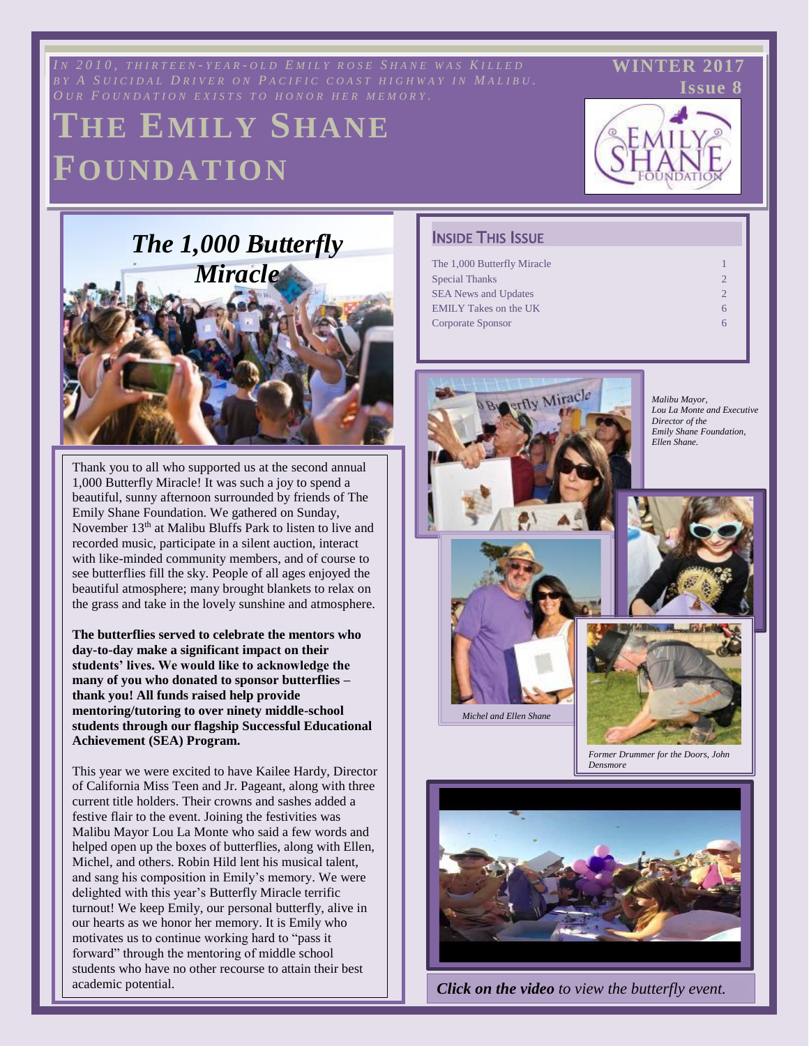*IN* 2010, THIRTEEN-YEAR-OLD EMILY ROSE SHANE WAS KILLED **WINTER 2017** 

# **THE EMILY SHANE FOUNDATION**



 **WINTER 2017**

# *The 1,000 Butterfly Miracle*

Thank you to all who supported us at the second annual 1,000 Butterfly Miracle! It was such a joy to spend a beautiful, sunny afternoon surrounded by friends of The Emily Shane Foundation. We gathered on Sunday, November 13<sup>th</sup> at Malibu Bluffs Park to listen to live and recorded music, participate in a silent auction, interact with like-minded community members, and of course to see butterflies fill the sky. People of all ages enjoyed the beautiful atmosphere; many brought blankets to relax on the grass and take in the lovely sunshine and atmosphere.

**The butterflies served to celebrate the mentors who day-to-day make a significant impact on their students' lives. We would like to acknowledge the many of you who donated to sponsor butterflies – thank you! All funds raised help provide mentoring/tutoring to over ninety middle-school students through our flagship Successful Educational Achievement (SEA) Program.** 

 $\vert \vert$  This year we were excited to have Kailee Hardy, Director  $\log$  of California Miss Teen and Jr. Pageant, along with three  $\left| \ \right|$  festive flair to the event. Joining the festivities was | Malibu Mayor Lou La Monte who said a few words and  $\left| \begin{array}{c} \end{array} \right|$  helped open up the boxes of butterflies, along with Ellen, and sang his composition in Emily's memory. We were  $\vert \vert$  delighted with this year's Butterfly Miracle terrific  $\vert \vert$  turnout! We keep Emily, our personal butterfly, alive in news as we hold her memory. It is Emily when  $\frac{1}{2}$  motivates us to continue working hard to "pass it"  $\vert \vert$  forward" through the mentoring of middle school  $\vert$  students who have no other recourse to attain their best academic potential. current title holders. Their crowns and sashes added a Michel, and others. Robin Hild lent his musical talent, our hearts as we honor her memory. It is Emily who

such as text boxes. As text boxes. As an added help, before  $\alpha$ 

### **INSIDE THIS ISSUE**

| The 1,000 Butterfly Miracle  |  |
|------------------------------|--|
|                              |  |
| <b>Special Thanks</b>        |  |
| <b>SEA News and Updates</b>  |  |
| <b>EMILY Takes on the UK</b> |  |
| Corporate Sponsor            |  |
|                              |  |

Fitting an Article into a Tight Space 3



**Click on the video** to view the butterfly event.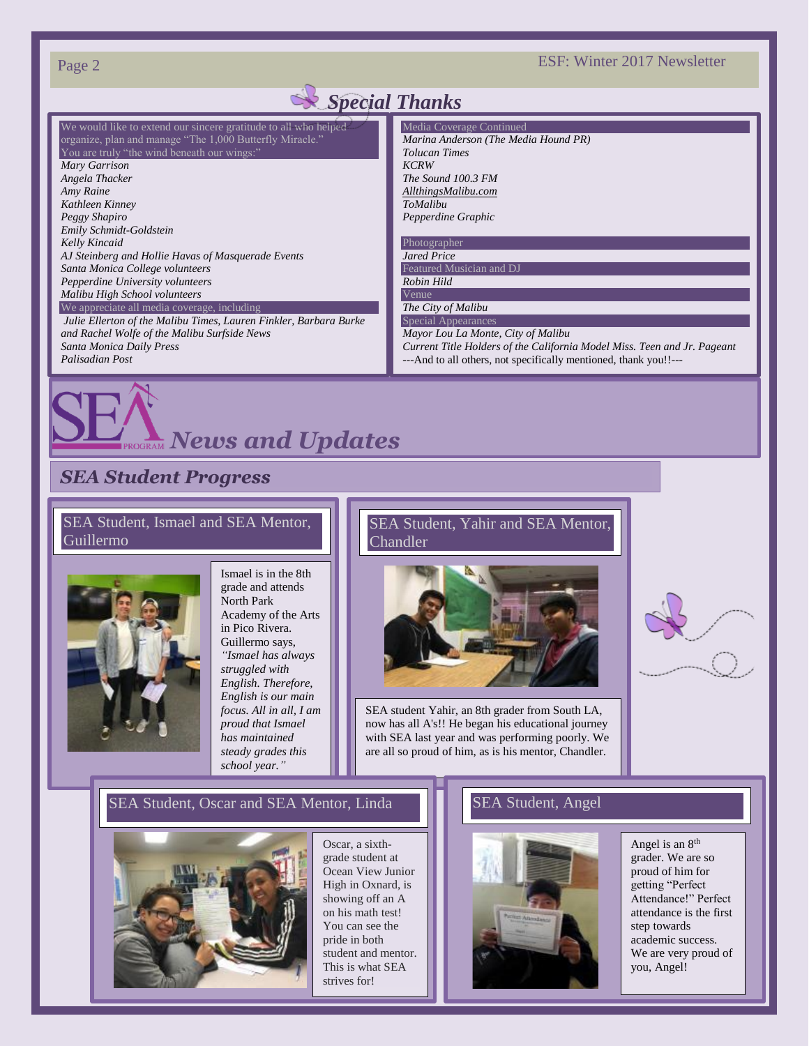Page 2 ESF: Winter 2017 Newsletter

### We would like to extend our sincere gratitude to all who helped organize, plan and manage "The 1,000 Butterfly Miracle." You are truly "the wind beneath our wings:" *Mary Garrison Angela Thacker Amy Raine Kathleen Kinney Peggy Shapiro Emily Schmidt-Goldstein Kelly Kincaid AJ Steinberg and Hollie Havas of Masquerade Events Santa Monica College volunteers Pepperdine University volunteers Malibu High School volunteers* We appreciate all media coverage, including *Julie Ellerton of the Malibu Times, Lauren Finkler, Barbara Burke and Rachel Wolfe of the Malibu Surfside News Santa Monica Daily Press Palisadian Post* Media Coverage Continued *Marina Anderson (The Media Hound PR) Tolucan Times KCRW The Sound 100.3 FM [AllthingsMalibu.com](http://allthingsmalibu.com/) ToMalibu Pepperdine Graphic* Photographer *Jared Price* Featured Musician and D. *Robin Hild* Venue *The City of Malibu* Special Appearance *Mayor Lou La Monte, City of Malibu Current Title Holders of the California Model Miss. Teen and Jr. Pageant* ---And to all others, not specifically mentioned, thank you!!--- *Special Thanks*

# *SEA Student Progress*

### SEA Student, Ismael and SEA Mentor, Guillermo



Ismael is in the 8th grade and attends North Park Academy of the Arts in Pico Rivera. Guillermo says, *"Ismael has always struggled with English. Therefore, English is our main focus. All in all, I am proud that Ismael has maintained steady grades this school year."*

*News and Updates*

SEA Student, Yahir and SEA Mentor, Chandler



SEA student Yahir, an 8th grader from South LA, now has all A's!! He began his educational journey with SEA last year and was performing poorly. We are all so proud of him, as is his mentor, Chandler.



# Drawing Readers to Other SEA Student, Oscar and SEA Mentor, Linda SEA Student, Angel



Oscar, a sixthgrade student at Ocean View Junior High in Oxnard, is showing off an A on his math test! You can see the pride in both student and mentor. strives for!

### SEA Student, Angel



Angel is an 8th grader. We are so proud of him for getting "Perfect Attendance!" Perfect attendance is the first step towards academic success. We are very proud of you, Angel!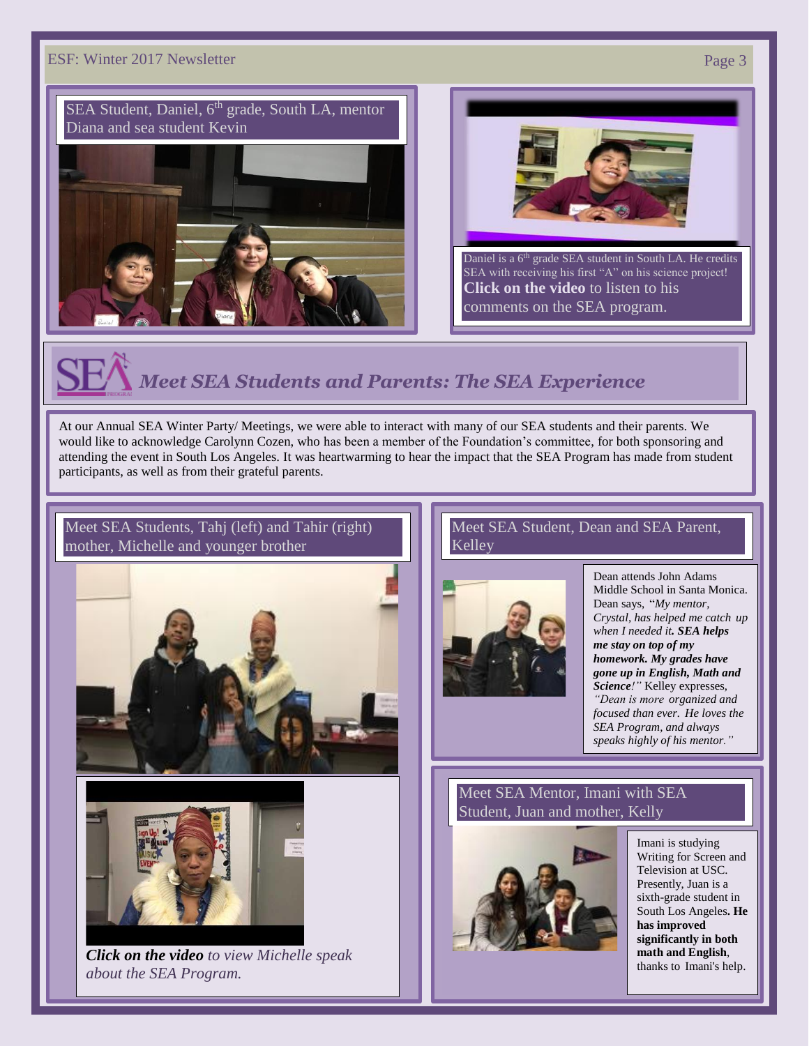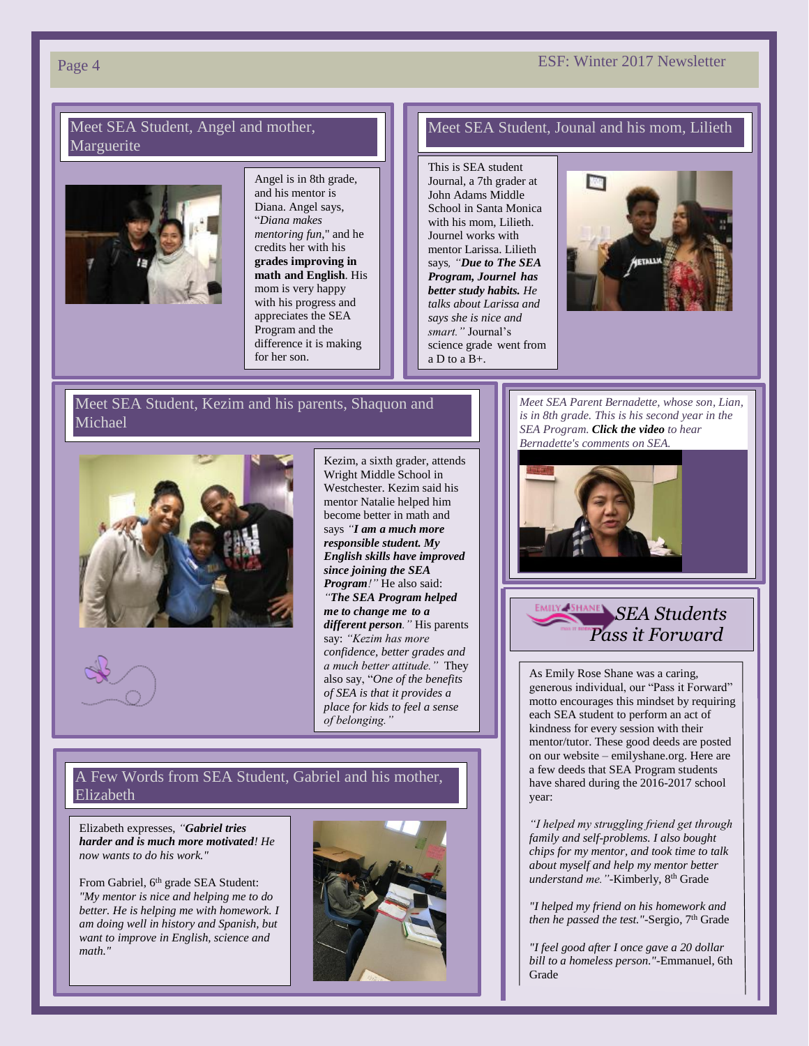# Page 4 **ESF:** Winter 2017 Newsletter

### Meet SEA Student, Angel and mother, Marguerite



Angel is in 8th grade, and his mentor is Diana. Angel says, "*Diana makes mentoring fun*," and he credits her with his **grades improving in math and English**. His mom is very happy with his progress and appreciates the SEA Program and the difference it is making for her son.

### Meet SEA Student, Jounal and his mom, Lilieth

This is SEA student Journal, a 7th grader at John Adams Middle School in Santa Monica with his mom, Lilieth. Journel works with mentor Larissa. Lilieth says*, "Due to The SEA Program, Journel has better study habits. He talks about Larissa and says she is nice and smart."* Journal's science grade went from  $a \overline{D}$  to  $a \overline{B} +$ .



### Meet SEA Student, Kezim and his parents, Shaquon and Michael



Wright Middle School in Westchester. Kezim said his mentor Natalie helped him become better in math and says *"I am a much more responsible student. My English skills have improved since joining the SEA Program!"* He also said: *"The SEA Program helped me to change me to a different person."* His parents say: *"Kezim has more confidence, better grades and a much better attitude."* They also say, "*One of the benefits of SEA is that it provides a place for kids to feel a sense of belonging."*

Kezim, a sixth grader, attends

### A Few Words from SEA Student, Gabriel and his mother, Elizabeth

Elizabeth expresses, *"Gabriel tries harder and is much more motivated! He now wants to do his work."*

From Gabriel, 6<sup>th</sup> grade SEA Student: *"My mentor is nice and helping me to do better. He is helping me with homework. I am doing well in history and Spanish, but want to improve in English, science and math."*



Meet SEA Parent Bernadette, whose son, Lian, is in 8th grade. This is his second year in the *Bernadette's comments on SEA. SEA Program. Click the video to hear* 



# *SEA Students Pass it Forward*

As Emily Rose Shane was a caring, generous individual, our "Pass it Forward" motto encourages this mindset by requiring each SEA student to perform an act of kindness for every session with their mentor/tutor. These good deeds are posted on our website – emilyshane.org. Here are a few deeds that SEA Program students have shared during the 2016-2017 school year:

*"I helped my struggling friend get through family and self-problems. I also bought chips for my mentor, and took time to talk about myself and help my mentor better understand me."*-Kimberly, 8th Grade

*"I helped my friend on his homework and then he passed the test.*"-Sergio, 7<sup>th</sup> Grade

*"I feel good after I once gave a 20 dollar bill to a homeless person."*-Emmanuel, 6th Grade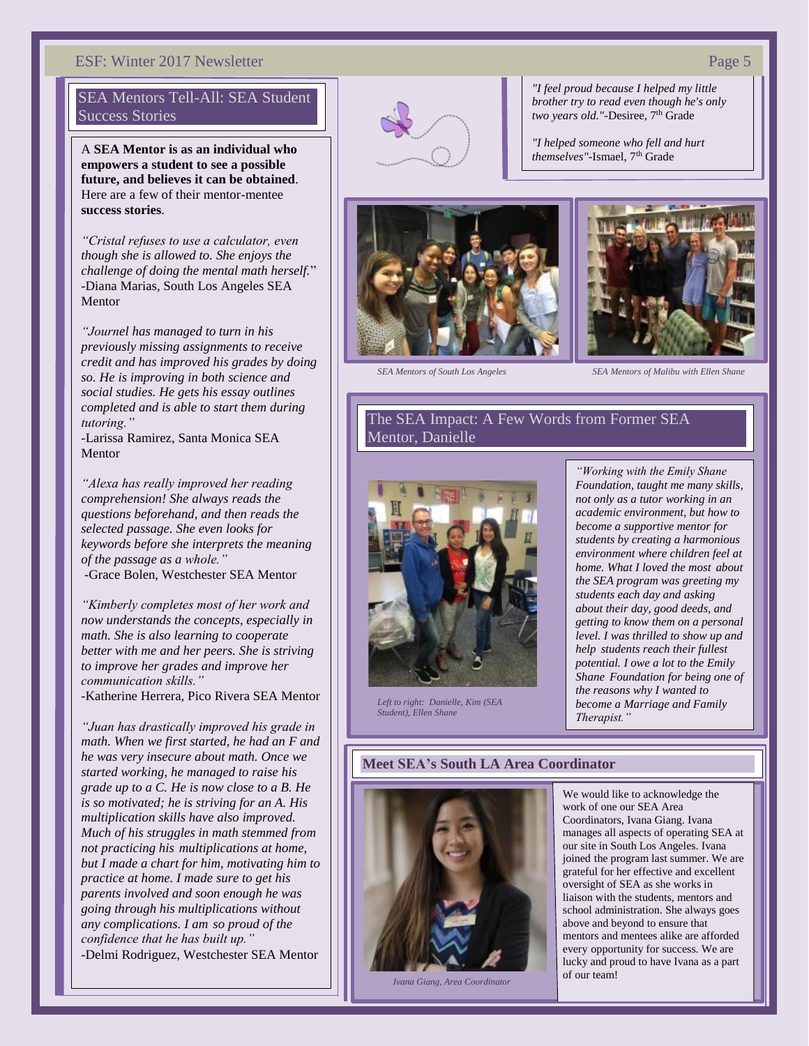### ESF: Winter 2017 Newsletter Page 5

### SEA Mentors Tell-All: SEA Student Success Stories

A **SEA Mentor is as an individual who empowers a student to see a possible future, and believes it can be obtained**. Here are a few of their mentor-mentee **success stories**.

*"Cristal refuses to use a calculator, even though she is allowed to. She enjoys the challenge of doing the mental math herself.*" -Diana Marias, South Los Angeles SEA Mentor

*"Journel has managed to turn in his previously missing assignments to receive credit and has improved his grades by doing so. He is improving in both science and social studies. He gets his essay outlines completed and is able to start them during tutoring."*

-Larissa Ramirez, Santa Monica SEA Mentor

*"Alexa has really improved her reading comprehension! She always reads the questions beforehand, and then reads the selected passage. She even looks for keywords before she interprets the meaning of the passage as a whole."* -Grace Bolen, Westchester SEA Mentor

*"Kimberly completes most of her work and now understands the concepts, especially in math. She is also learning to cooperate better with me and her peers. She is striving to improve her grades and improve her communication skills."*

-Katherine Herrera, Pico Rivera SEA Mentor

*"Juan has drastically improved his grade in math. When we first started, he had an F and he was very insecure about math. Once we started working, he managed to raise his grade up to a C. He is now close to a B. He is so motivated; he is striving for an A. His multiplication skills have also improved. Much of his struggles in math stemmed from not practicing his multiplications at home, but I made a chart for him, motivating him to practice at home. I made sure to get his parents involved and soon enough he was going through his multiplications without any complications. I am so proud of the confidence that he has built up."* -Delmi Rodriguez, Westchester SEA Mentor



*"I feel proud because I helped my little brother try to read even though he's only*  two years old."-Desiree, 7<sup>th</sup> Grade

*"I helped someone who fell and hurt*  themselves"-Ismael, 7<sup>th</sup> Grade





*SEA Mentors of South Los Angeles SEA Mentors of Malibu with Ellen Shane*

### The SEA Impact: A Few Words from Former SEA Mentor, Danielle



*Left to right: Danielle, Kim (SEA Student), Ellen Shane*

*"Working with the Emily Shane Foundation, taught me many skills, not only as a tutor working in an academic environment, but how to become a supportive mentor for students by creating a harmonious environment where children feel at home. What I loved the most about the SEA program was greeting my students each day and asking about their day, good deeds, and getting to know them on a personal level. I was thrilled to show up and help students reach their fullest potential. I owe a lot to the Emily Shane Foundation for being one of the reasons why I wanted to become a Marriage and Family Therapist."*

### **Meet SEA's South LA Area Coordinator**



*Ivana Giang, Area Coordinator*

We would like to acknowledge the work of one our SEA Area Coordinators, Ivana Giang. Ivana manages all aspects of operating SEA at our site in South Los Angeles. Ivana joined the program last summer. We are grateful for her effective and excellent oversight of SEA as she works in liaison with the students, mentors and school administration. She always goes above and beyond to ensure that mentors and mentees alike are afforded every opportunity for success. We are lucky and proud to have Ivana as a part of our team!